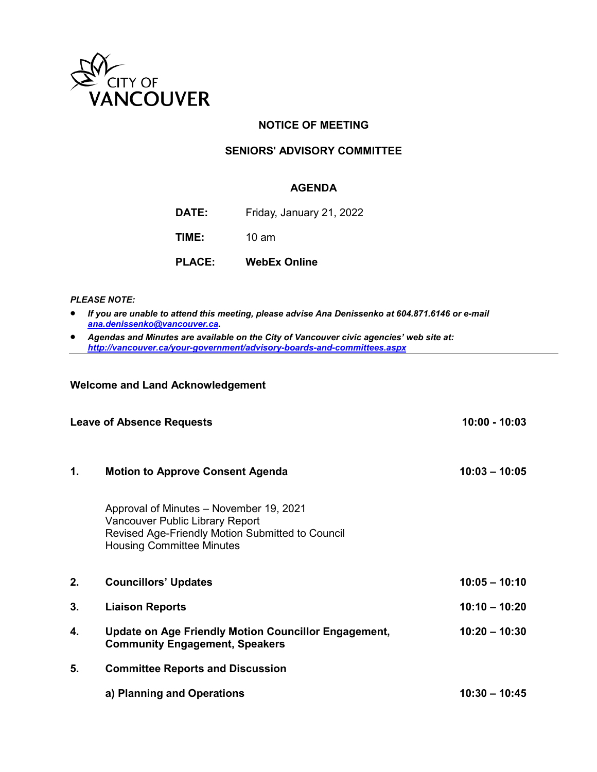

# **NOTICE OF MEETING**

# **SENIORS' ADVISORY COMMITTEE**

#### **AGENDA**

| <b>DATE:</b> | Friday, January 21, 2022 |  |
|--------------|--------------------------|--|
|              |                          |  |

**TIME:** 10 am

**PLACE: WebEx Online**

#### *PLEASE NOTE:*

- *If you are unable to attend this meeting, please advise Ana Denissenko at 604.871.6146 or e-mail [ana.denissenko@vancouver.ca.](mailto:ana.denissenko@vancouver.ca)*
- *Agendas and Minutes are available on the City of Vancouver civic agencies' web site at: <http://vancouver.ca/your-government/advisory-boards-and-committees.aspx>*

# **Welcome and Land Acknowledgement**

| <b>Leave of Absence Requests</b> |                                                                                                                                                                           | $10:00 - 10:03$ |
|----------------------------------|---------------------------------------------------------------------------------------------------------------------------------------------------------------------------|-----------------|
| 1.                               | <b>Motion to Approve Consent Agenda</b>                                                                                                                                   | $10:03 - 10:05$ |
|                                  | Approval of Minutes - November 19, 2021<br><b>Vancouver Public Library Report</b><br>Revised Age-Friendly Motion Submitted to Council<br><b>Housing Committee Minutes</b> |                 |
| 2.                               | <b>Councillors' Updates</b>                                                                                                                                               | $10:05 - 10:10$ |
| 3.                               | <b>Liaison Reports</b>                                                                                                                                                    | $10:10 - 10:20$ |
| 4.                               | <b>Update on Age Friendly Motion Councillor Engagement,</b><br><b>Community Engagement, Speakers</b>                                                                      | $10:20 - 10:30$ |
| 5.                               | <b>Committee Reports and Discussion</b>                                                                                                                                   |                 |
|                                  | a) Planning and Operations                                                                                                                                                | $10:30 - 10:45$ |